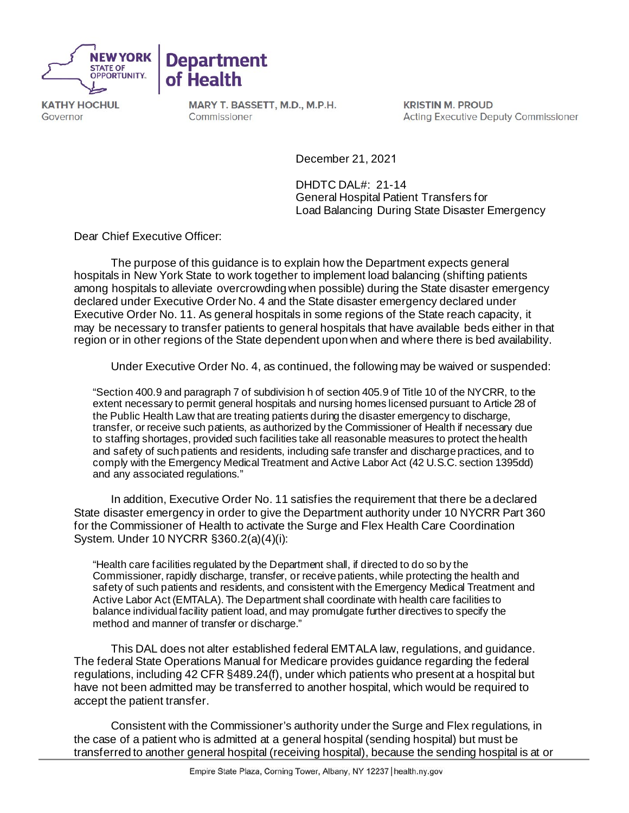



**KATHY HOCHUL** Governor

MARY T. BASSETT, M.D., M.P.H. Commissioner

**KRISTIN M. PROUD Acting Executive Deputy Commissioner** 

December 21, 2021

DHDTC DAL#: 21-14 General Hospital Patient Transfers for Load Balancing During State Disaster Emergency

Dear Chief Executive Officer:

The purpose of this guidance is to explain how the Department expects general hospitals in New York State to work together to implement load balancing (shifting patients among hospitals to alleviate overcrowding when possible) during the State disaster emergency declared under Executive Order No. 4 and the State disaster emergency declared under Executive Order No. 11. As general hospitals in some regions of the State reach capacity, it may be necessary to transfer patients to general hospitals that have available beds either in that region or in other regions of the State dependent upon when and where there is bed availability.

Under Executive Order No. 4, as continued, the following may be waived or suspended:

"Section 400.9 and paragraph 7 of subdivision h of section 405.9 of Title 10 of the NYCRR, to the extent necessary to permit general hospitals and nursing homes licensed pursuant to Article 28 of the Public Health Law that are treating patients during the disaster emergency to discharge, transfer, or receive such patients, as authorized by the Commissioner of Health if necessary due to staffing shortages, provided such facilities take all reasonable measures to protect the health and safety of such patients and residents, including safe transfer and discharge practices, and to comply with the Emergency Medical Treatment and Active Labor Act (42 U.S.C. section 1395dd) and any associated regulations."

In addition, Executive Order No. 11 satisfies the requirement that there be a declared State disaster emergency in order to give the Department authority under 10 NYCRR Part 360 for the Commissioner of Health to activate the Surge and Flex Health Care Coordination System. Under 10 NYCRR §360.2(a)(4)(i):

"Health care facilities regulated by the Department shall, if directed to do so by the Commissioner, rapidly discharge, transfer, or receive patients, while protecting the health and safety of such patients and residents, and consistent with the Emergency Medical Treatment and Active Labor Act (EMTALA). The Department shall coordinate with health care facilities to balance individual facility patient load, and may promulgate further directives to specify the method and manner of transfer or discharge."

This DAL does not alter established federal EMTALA law, regulations, and guidance. The federal State Operations Manual for Medicare provides guidance regarding the federal regulations, including 42 CFR §489.24(f), under which patients who present at a hospital but have not been admitted may be transferred to another hospital, which would be required to accept the patient transfer.

Consistent with the Commissioner's authority under the Surge and Flex regulations, in the case of a patient who is admitted at a general hospital (sending hospital) but must be transferred to another general hospital (receiving hospital), because the sending hospital is at or